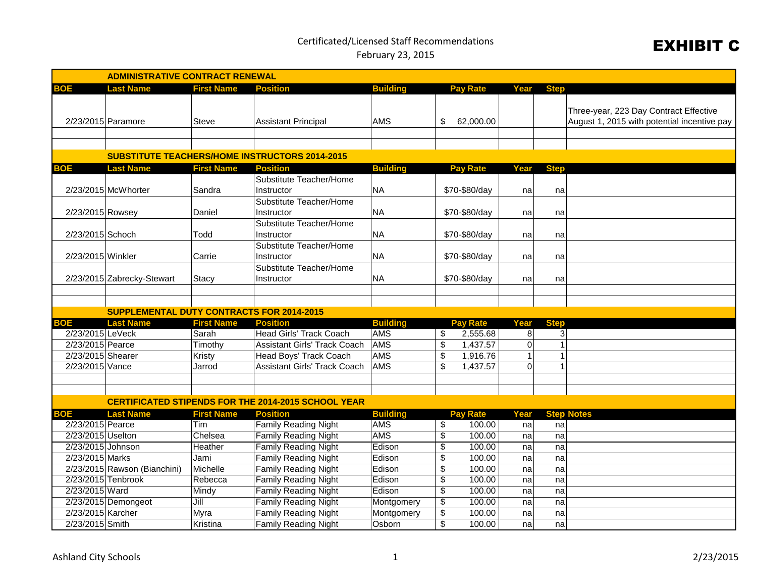## Certificated/Licensed Staff Recommendations February 23, 2015

## EXHIBIT C

| <b>ADMINISTRATIVE CONTRACT RENEWAL</b>           |                    |                                                            |                 |                          |                 |                |                |                                                                                       |  |  |
|--------------------------------------------------|--------------------|------------------------------------------------------------|-----------------|--------------------------|-----------------|----------------|----------------|---------------------------------------------------------------------------------------|--|--|
| <b>BOE</b><br><b>Last Name</b>                   | <b>First Name</b>  | <b>Position</b>                                            | <b>Building</b> |                          | <b>Pay Rate</b> | Year           | <b>Step</b>    |                                                                                       |  |  |
| 2/23/2015 Paramore                               | <b>Steve</b>       | Assistant Principal                                        | <b>AMS</b>      | \$                       | 62,000.00       |                |                | Three-year, 223 Day Contract Effective<br>August 1, 2015 with potential incentive pay |  |  |
|                                                  |                    | <b>SUBSTITUTE TEACHERS/HOME INSTRUCTORS 2014-2015</b>      |                 |                          |                 |                |                |                                                                                       |  |  |
| <b>BOE</b><br><b>Last Name</b>                   | <b>First Name</b>  | <b>Position</b>                                            | <b>Building</b> |                          | <b>Pay Rate</b> | Year           | <b>Step</b>    |                                                                                       |  |  |
|                                                  |                    | Substitute Teacher/Home                                    |                 |                          |                 |                |                |                                                                                       |  |  |
| 2/23/2015 McWhorter                              | Sandra             | Instructor                                                 | <b>NA</b>       |                          | \$70-\$80/day   | na             | na             |                                                                                       |  |  |
|                                                  |                    | Substitute Teacher/Home                                    |                 |                          |                 |                |                |                                                                                       |  |  |
| 2/23/2015 Rowsey                                 | Daniel             | Instructor                                                 | <b>NA</b>       |                          | \$70-\$80/day   | na             | na             |                                                                                       |  |  |
|                                                  |                    | Substitute Teacher/Home                                    |                 |                          |                 |                |                |                                                                                       |  |  |
| 2/23/2015 Schoch                                 | Todd               | Instructor                                                 | <b>NA</b>       |                          | \$70-\$80/day   | na             | na             |                                                                                       |  |  |
|                                                  |                    | Substitute Teacher/Home                                    |                 |                          |                 |                |                |                                                                                       |  |  |
| 2/23/2015 Winkler                                | Carrie             | Instructor                                                 | <b>NA</b>       | \$70-\$80/day            |                 | na             | na             |                                                                                       |  |  |
| 2/23/2015 Zabrecky-Stewart                       | Stacy              | Substitute Teacher/Home<br>Instructor                      | <b>NA</b>       | \$70-\$80/day            |                 | na             | na             |                                                                                       |  |  |
|                                                  |                    |                                                            |                 |                          |                 |                |                |                                                                                       |  |  |
| <b>SUPPLEMENTAL DUTY CONTRACTS FOR 2014-2015</b> |                    |                                                            |                 |                          |                 |                |                |                                                                                       |  |  |
| <b>Last Name</b><br><b>BOE</b>                   | <b>First Name</b>  | <b>Position</b>                                            | <b>Building</b> |                          | <b>Pay Rate</b> | Year           | <b>Step</b>    |                                                                                       |  |  |
| 2/23/2015 LeVeck                                 | Sarah              | Head Girls' Track Coach                                    | <b>AMS</b>      | \$                       | 2,555.68        | 8              | 3              |                                                                                       |  |  |
| 2/23/2015 Pearce                                 | Timothy            | <b>Assistant Girls' Track Coach</b>                        | <b>AMS</b>      | $\overline{\$}$          | 1,437.57        | 0              | 1              |                                                                                       |  |  |
| 2/23/2015 Shearer                                | Kristy             | <b>Head Boys' Track Coach</b>                              | <b>AMS</b>      | $\overline{\$}$          | 1,916.76        | 1              | 1              |                                                                                       |  |  |
| 2/23/2015 Vance                                  | Jarrod             | <b>Assistant Girls' Track Coach</b>                        | <b>AMS</b>      | $\overline{\mathcal{S}}$ | 1,437.57        | $\overline{0}$ | 1              |                                                                                       |  |  |
|                                                  |                    |                                                            |                 |                          |                 |                |                |                                                                                       |  |  |
|                                                  |                    |                                                            |                 |                          |                 |                |                |                                                                                       |  |  |
|                                                  |                    | <b>CERTIFICATED STIPENDS FOR THE 2014-2015 SCHOOL YEAR</b> |                 |                          |                 |                |                |                                                                                       |  |  |
| <b>Last Name</b><br><b>BOE</b>                   | <b>First Name</b>  | <b>Position</b>                                            | <b>Building</b> |                          | <b>Pay Rate</b> | Year           |                | <b>Step Notes</b>                                                                     |  |  |
| 2/23/2015 Pearce                                 | Tim                | <b>Family Reading Night</b>                                | <b>AMS</b>      | $\overline{\mathcal{E}}$ | 100.00          | na             | na             |                                                                                       |  |  |
| 2/23/2015 Uselton                                | Chelsea            | <b>Family Reading Night</b>                                | <b>AMS</b>      | $\overline{\mathcal{E}}$ | 100.00          | na             | na             |                                                                                       |  |  |
| 2/23/2015 Johnson                                | Heather            | <b>Family Reading Night</b>                                | Edison          | \$                       | 100.00          | na             | na             |                                                                                       |  |  |
| 2/23/2015 Marks                                  | Jami               | <b>Family Reading Night</b>                                | Edison          | $\overline{\mathcal{E}}$ | 100.00          | na             | na             |                                                                                       |  |  |
| 2/23/2015 Rawson (Bianchini)                     | Michelle           | <b>Family Reading Night</b>                                | Edison          | $\overline{\$}$          | 100.00          | na             | na             |                                                                                       |  |  |
| 2/23/2015 Tenbrook                               | Rebecca            | <b>Family Reading Night</b>                                | Edison          | \$                       | 100.00          | na             | na             |                                                                                       |  |  |
| 2/23/2015 Ward                                   | Mindy              | <b>Family Reading Night</b>                                | Edison          | $\overline{\mathcal{S}}$ | 100.00          | na             | na             |                                                                                       |  |  |
| 2/23/2015 Demongeot                              | $\overline{J}$ ill | <b>Family Reading Night</b>                                | Montgomery      | $\overline{\mathcal{E}}$ | 100.00          | na             | na             |                                                                                       |  |  |
| 2/23/2015 Karcher                                | Myra               | <b>Family Reading Night</b>                                | Montgomery      | $\overline{\$}$          | 100.00          | na             | n <sub>a</sub> |                                                                                       |  |  |
| 2/23/2015 Smith                                  | Kristina           | <b>Family Reading Night</b>                                | Osborn          | \$                       | 100.00          | na             | na             |                                                                                       |  |  |